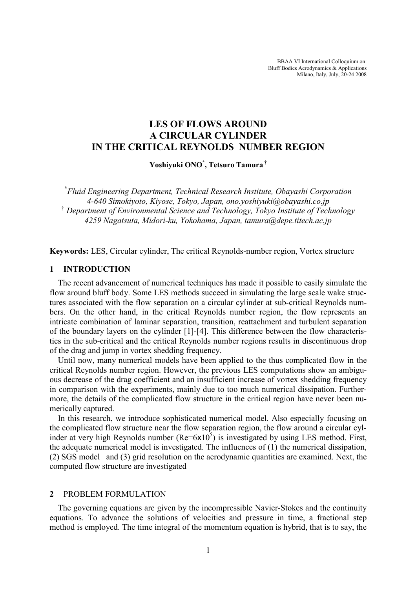BBAA VI International Colloquium on: Bluff Bodies Aerodynamics & Applications Milano, Italy, July, 20-24 2008

# **LES OF FLOWS AROUND A CIRCULAR CYLINDER IN THE CRITICAL REYNOLDS NUMBER REGION**

**Yoshiyuki ONO\* , Tetsuro Tamura** †

**\*** *Fluid Engineering Department, Technical Research Institute, Obayashi Corporation 4-640 Simokiyoto, Kiyose, Tokyo, Japan, ono.yoshiyuki@obayashi.co.jp*  † *Department of Environmental Science and Technology, Tokyo Institute of Technology 4259 Nagatsuta, Midori-ku, Yokohama, Japan, tamura@depe.titech.ac.jp* 

**Keywords:** LES, Circular cylinder, The critical Reynolds-number region, Vortex structure

#### **1 INTRODUCTION**

The recent advancement of numerical techniques has made it possible to easily simulate the flow around bluff body. Some LES methods succeed in simulating the large scale wake structures associated with the flow separation on a circular cylinder at sub-critical Reynolds numbers. On the other hand, in the critical Reynolds number region, the flow represents an intricate combination of laminar separation, transition, reattachment and turbulent separation of the boundary layers on the cylinder [1]-[4]. This difference between the flow characteristics in the sub-critical and the critical Reynolds number regions results in discontinuous drop of the drag and jump in vortex shedding frequency.

Until now, many numerical models have been applied to the thus complicated flow in the critical Reynolds number region. However, the previous LES computations show an ambiguous decrease of the drag coefficient and an insufficient increase of vortex shedding frequency in comparison with the experiments, mainly due to too much numerical dissipation. Furthermore, the details of the complicated flow structure in the critical region have never been numerically captured.

In this research, we introduce sophisticated numerical model. Also especially focusing on the complicated flow structure near the flow separation region, the flow around a circular cylinder at very high Reynolds number ( $Re=6x10^5$ ) is investigated by using LES method. First, the adequate numerical model is investigated. The influences of (1) the numerical dissipation, (2) SGS model and (3) grid resolution on the aerodynamic quantities are examined. Next, the computed flow structure are investigated

# **2** PROBLEM FORMULATION

The governing equations are given by the incompressible Navier-Stokes and the continuity equations. To advance the solutions of velocities and pressure in time, a fractional step method is employed. The time integral of the momentum equation is hybrid, that is to say, the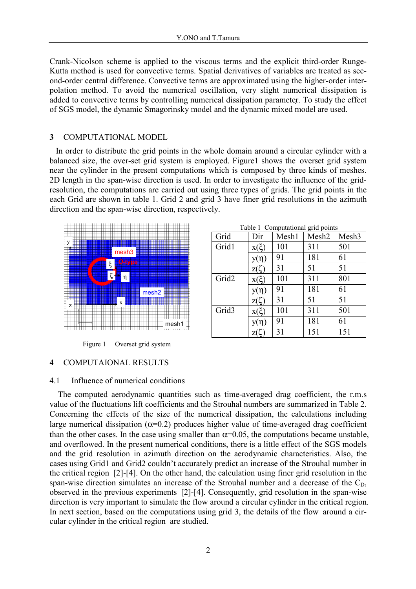Crank-Nicolson scheme is applied to the viscous terms and the explicit third-order Runge-Kutta method is used for convective terms. Spatial derivatives of variables are treated as second-order central difference. Convective terms are approximated using the higher-order interpolation method. To avoid the numerical oscillation, very slight numerical dissipation is added to convective terms by controlling numerical dissipation parameter. To study the effect of SGS model, the dynamic Smagorinsky model and the dynamic mixed model are used.

### **3** COMPUTATIONAL MODEL

In order to distribute the grid points in the whole domain around a circular cylinder with a balanced size, the over-set grid system is employed. Figure1 shows the overset grid system near the cylinder in the present computations which is composed by three kinds of meshes. 2D length in the span-wise direction is used. In order to investigate the influence of the gridresolution, the computations are carried out using three types of grids. The grid points in the each Grid are shown in table 1. Grid 2 and grid 3 have finer grid resolutions in the azimuth direction and the span-wise direction, respectively.



| Grid              | Dir       | Mesh1 | Mesh <sub>2</sub> | Mesh <sub>3</sub> |  |
|-------------------|-----------|-------|-------------------|-------------------|--|
| Grid1             | $X(\xi)$  | 101   | 311               | 501               |  |
|                   | $y(\eta)$ | 91    | 181               | 61                |  |
|                   | Z(        | 31    | 51                | 51                |  |
| Grid <sub>2</sub> | $X(\xi)$  | 101   | 311               | 801               |  |
|                   | $y(\eta)$ | 91    | 181               | 61                |  |
|                   | z۱C       | 31    | 51                | 51                |  |
| Grid <sub>3</sub> | $X(\xi)$  | 101   | 311               | 501               |  |
|                   | n)        | 91    | 181               | 61                |  |
|                   |           | 31    | 151               | 151               |  |

Table 1 Computational grid points

# Figure 1 Overset grid system

# **4** COMPUTAIONAL RESULTS

### 4.1 Influence of numerical conditions

The computed aerodynamic quantities such as time-averaged drag coefficient, the r.m.s value of the fluctuations lift coefficients and the Strouhal numbers are summarized in Table 2. Concerning the effects of the size of the numerical dissipation, the calculations including large numerical dissipation ( $\alpha$ =0.2) produces higher value of time-averaged drag coefficient than the other cases. In the case using smaller than  $\alpha$ =0.05, the computations became unstable, and overflowed. In the present numerical conditions, there is a little effect of the SGS models and the grid resolution in azimuth direction on the aerodynamic characteristics. Also, the cases using Grid1 and Grid2 couldn't accurately predict an increase of the Strouhal number in the critical region [2]-[4]. On the other hand, the calculation using finer grid resolution in the span-wise direction simulates an increase of the Strouhal number and a decrease of the  $C_D$ , observed in the previous experiments [2]-[4]. Consequently, grid resolution in the span-wise direction is very important to simulate the flow around a circular cylinder in the critical region. In next section, based on the computations using grid 3, the details of the flow around a circular cylinder in the critical region are studied.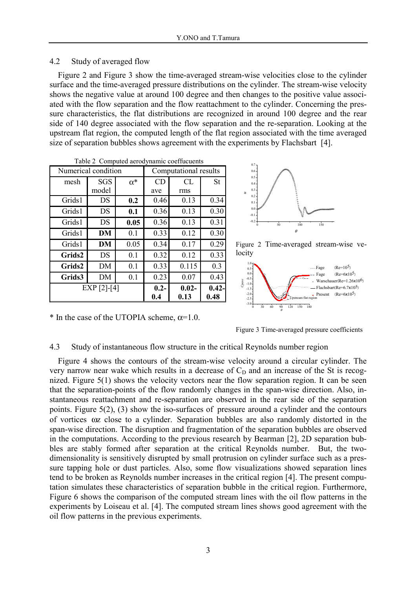# 4.2 Study of averaged flow

Figure 2 and Figure 3 show the time-averaged stream-wise velocities close to the cylinder surface and the time-averaged pressure distributions on the cylinder. The stream-wise velocity shows the negative value at around 100 degree and then changes to the positive value associated with the flow separation and the flow reattachment to the cylinder. Concerning the pressure characteristics, the flat distributions are recognized in around 100 degree and the rear side of 140 degree associated with the flow separation and the re-separation. Looking at the upstream flat region, the computed length of the flat region associated with the time averaged size of separation bubbles shows agreement with the experiments by Flachsbart [4].

| Numerical condition |            |            | Computational results |          |           |
|---------------------|------------|------------|-----------------------|----------|-----------|
| mesh                | <b>SGS</b> | $\alpha^*$ | CD                    | CL       | <b>St</b> |
|                     | model      |            | ave                   | rms      |           |
| Grids1              | DS         | 0.2        | 0.46                  | 0.13     | 0.34      |
| Grids1              | DS         | 0.1        | 0.36                  | 0.13     | 0.30      |
| Grids1              | DS         | 0.05       | 0.36                  | 0.13     | 0.31      |
| Grids1              | DM         | 0.1        | 0.33                  | 0.12     | 0.30      |
| Grids1              | DM         | 0.05       | 0.34                  | 0.17     | 0.29      |
| Grids2              | DS         | 0.1        | 0.32                  | 0.12     | 0.33      |
| Grids2              | DM         | 0.1        | 0.33                  | 0.115    | 0.3       |
| Grids3              | DM         | 0.1        | 0.23                  | 0.07     | 0.43      |
| $EXP [2]-[4]$       |            |            | $0.2 -$               | $0.02 -$ | $0.42 -$  |
|                     |            |            | 0.4                   | 0.13     | 0.48      |

Table 2 Computed aerodynamic coeffucuents



Figure 2 Time-averaged stream-wise velocity



\* In the case of the UTOPIA scheme,  $\alpha=1.0$ .

Figure 3 Time-averaged pressure coefficients

#### 4.3 Study of instantaneous flow structure in the critical Reynolds number region

Figure 4 shows the contours of the stream-wise velocity around a circular cylinder. The very narrow near wake which results in a decrease of  $C<sub>D</sub>$  and an increase of the St is recognized. Figure 5(1) shows the velocity vectors near the flow separation region. It can be seen that the separation-points of the flow randomly changes in the span-wise direction. Also, instantaneous reattachment and re-separation are observed in the rear side of the separation points. Figure 5(2), (3) show the iso-surfaces of pressure around a cylinder and the contours of vortices ωz close to a cylinder. Separation bubbles are also randomly distorted in the span-wise direction. The disruption and fragmentation of the separation bubbles are observed in the computations. According to the previous research by Bearman [2], 2D separation bubbles are stably formed after separation at the critical Reynolds number. But, the twodimensionality is sensitively disrupted by small protrusion on cylinder surface such as a pressure tapping hole or dust particles. Also, some flow visualizations showed separation lines tend to be broken as Reynolds number increases in the critical region [4]. The present computation simulates these characteristics of separation bubble in the critical region. Furthermore, Figure 6 shows the comparison of the computed stream lines with the oil flow patterns in the experiments by Loiseau et al. [4]. The computed stream lines shows good agreement with the oil flow patterns in the previous experiments.